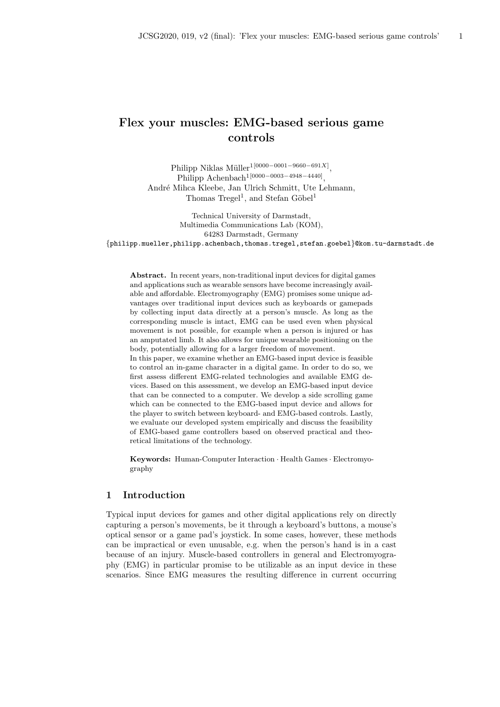Philipp Niklas Müller<sup>1[0000–0001–9660–691X]</sup>, Philipp Achenbach<sup>1[0000–0003–4948–4440]</sup>, Andr´e Mihca Kleebe, Jan Ulrich Schmitt, Ute Lehmann, Thomas Tregel<sup>1</sup>, and Stefan Göbel<sup>1</sup>

Technical University of Darmstadt, Multimedia Communications Lab (KOM), 64283 Darmstadt, Germany {philipp.mueller,philipp.achenbach,thomas.tregel,stefan.goebel}@kom.tu-darmstadt.de

Abstract. In recent years, non-traditional input devices for digital games and applications such as wearable sensors have become increasingly available and affordable. Electromyography (EMG) promises some unique advantages over traditional input devices such as keyboards or gamepads by collecting input data directly at a person's muscle. As long as the corresponding muscle is intact, EMG can be used even when physical movement is not possible, for example when a person is injured or has an amputated limb. It also allows for unique wearable positioning on the body, potentially allowing for a larger freedom of movement. In this paper, we examine whether an EMG-based input device is feasible to control an in-game character in a digital game. In order to do so, we first assess different EMG-related technologies and available EMG devices. Based on this assessment, we develop an EMG-based input device that can be connected to a computer. We develop a side scrolling game which can be connected to the EMG-based input device and allows for the player to switch between keyboard- and EMG-based controls. Lastly, we evaluate our developed system empirically and discuss the feasibility of EMG-based game controllers based on observed practical and theoretical limitations of the technology.

Keywords: Human-Computer Interaction · Health Games · Electromyography

## 1 Introduction

Typical input devices for games and other digital applications rely on directly capturing a person's movements, be it through a keyboard's buttons, a mouse's optical sensor or a game pad's joystick. In some cases, however, these methods can be impractical or even unusable, e.g. when the person's hand is in a cast because of an injury. Muscle-based controllers in general and Electromyography (EMG) in particular promise to be utilizable as an input device in these scenarios. Since EMG measures the resulting difference in current occurring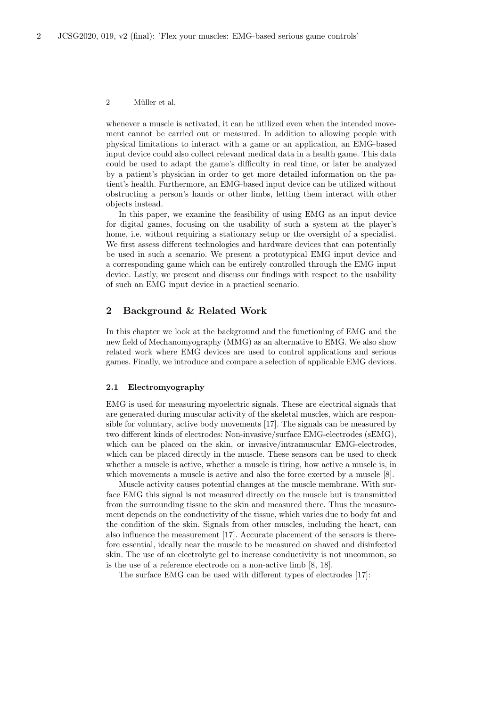whenever a muscle is activated, it can be utilized even when the intended movement cannot be carried out or measured. In addition to allowing people with physical limitations to interact with a game or an application, an EMG-based input device could also collect relevant medical data in a health game. This data could be used to adapt the game's difficulty in real time, or later be analyzed by a patient's physician in order to get more detailed information on the patient's health. Furthermore, an EMG-based input device can be utilized without obstructing a person's hands or other limbs, letting them interact with other objects instead.

In this paper, we examine the feasibility of using EMG as an input device for digital games, focusing on the usability of such a system at the player's home, i.e. without requiring a stationary setup or the oversight of a specialist. We first assess different technologies and hardware devices that can potentially be used in such a scenario. We present a prototypical EMG input device and a corresponding game which can be entirely controlled through the EMG input device. Lastly, we present and discuss our findings with respect to the usability of such an EMG input device in a practical scenario.

## 2 Background & Related Work

In this chapter we look at the background and the functioning of EMG and the new field of Mechanomyography (MMG) as an alternative to EMG. We also show related work where EMG devices are used to control applications and serious games. Finally, we introduce and compare a selection of applicable EMG devices.

## 2.1 Electromyography

EMG is used for measuring myoelectric signals. These are electrical signals that are generated during muscular activity of the skeletal muscles, which are responsible for voluntary, active body movements [17]. The signals can be measured by two different kinds of electrodes: Non-invasive/surface EMG-electrodes (sEMG), which can be placed on the skin, or invasive/intramuscular EMG-electrodes, which can be placed directly in the muscle. These sensors can be used to check whether a muscle is active, whether a muscle is tiring, how active a muscle is, in which movements a muscle is active and also the force exerted by a muscle [8].

Muscle activity causes potential changes at the muscle membrane. With surface EMG this signal is not measured directly on the muscle but is transmitted from the surrounding tissue to the skin and measured there. Thus the measurement depends on the conductivity of the tissue, which varies due to body fat and the condition of the skin. Signals from other muscles, including the heart, can also influence the measurement [17]. Accurate placement of the sensors is therefore essential, ideally near the muscle to be measured on shaved and disinfected skin. The use of an electrolyte gel to increase conductivity is not uncommon, so is the use of a reference electrode on a non-active limb [8, 18].

The surface EMG can be used with different types of electrodes [17]: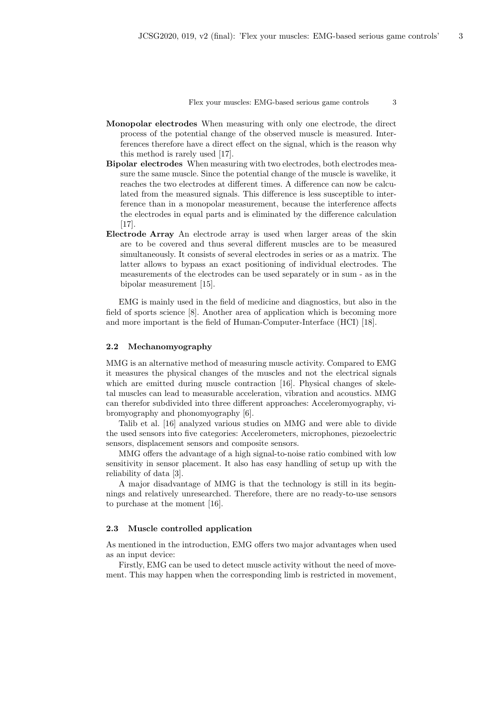- 
- Monopolar electrodes When measuring with only one electrode, the direct process of the potential change of the observed muscle is measured. Interferences therefore have a direct effect on the signal, which is the reason why this method is rarely used [17].
- Bipolar electrodes When measuring with two electrodes, both electrodes measure the same muscle. Since the potential change of the muscle is wavelike, it reaches the two electrodes at different times. A difference can now be calculated from the measured signals. This difference is less susceptible to interference than in a monopolar measurement, because the interference affects the electrodes in equal parts and is eliminated by the difference calculation [17].
- Electrode Array An electrode array is used when larger areas of the skin are to be covered and thus several different muscles are to be measured simultaneously. It consists of several electrodes in series or as a matrix. The latter allows to bypass an exact positioning of individual electrodes. The measurements of the electrodes can be used separately or in sum - as in the bipolar measurement [15].

EMG is mainly used in the field of medicine and diagnostics, but also in the field of sports science [8]. Another area of application which is becoming more and more important is the field of Human-Computer-Interface (HCI) [18].

### 2.2 Mechanomyography

MMG is an alternative method of measuring muscle activity. Compared to EMG it measures the physical changes of the muscles and not the electrical signals which are emitted during muscle contraction [16]. Physical changes of skeletal muscles can lead to measurable acceleration, vibration and acoustics. MMG can therefor subdivided into three different approaches: Acceleromyography, vibromyography and phonomyography [6].

Talib et al. [16] analyzed various studies on MMG and were able to divide the used sensors into five categories: Accelerometers, microphones, piezoelectric sensors, displacement sensors and composite sensors.

MMG offers the advantage of a high signal-to-noise ratio combined with low sensitivity in sensor placement. It also has easy handling of setup up with the reliability of data [3].

A major disadvantage of MMG is that the technology is still in its beginnings and relatively unresearched. Therefore, there are no ready-to-use sensors to purchase at the moment [16].

### 2.3 Muscle controlled application

As mentioned in the introduction, EMG offers two major advantages when used as an input device:

Firstly, EMG can be used to detect muscle activity without the need of movement. This may happen when the corresponding limb is restricted in movement,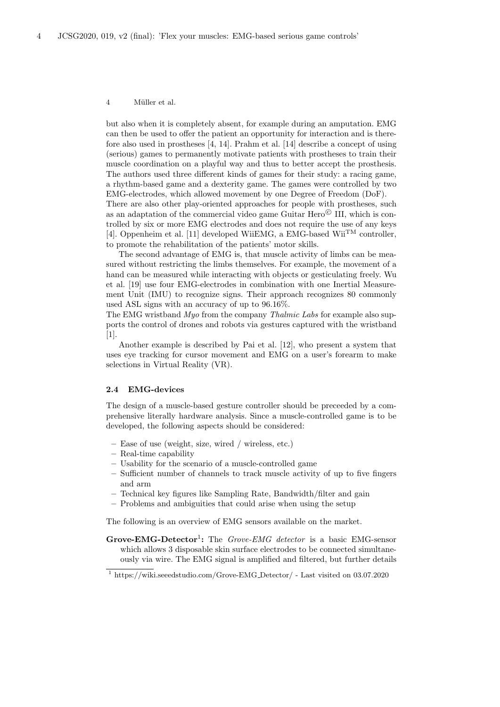but also when it is completely absent, for example during an amputation. EMG can then be used to offer the patient an opportunity for interaction and is therefore also used in prostheses [4, 14]. Prahm et al. [14] describe a concept of using (serious) games to permanently motivate patients with prostheses to train their muscle coordination on a playful way and thus to better accept the prosthesis. The authors used three different kinds of games for their study: a racing game, a rhythm-based game and a dexterity game. The games were controlled by two EMG-electrodes, which allowed movement by one Degree of Freedom (DoF).

There are also other play-oriented approaches for people with prostheses, such as an adaptation of the commercial video game Guitar  $\text{Hero}^{\textcircled{\tiny{\text{C}}}}$  III, which is controlled by six or more EMG electrodes and does not require the use of any keys [4]. Oppenheim et al. [11] developed WiiEMG, a EMG-based Wii<sup>TM</sup> controller, to promote the rehabilitation of the patients' motor skills.

The second advantage of EMG is, that muscle activity of limbs can be measured without restricting the limbs themselves. For example, the movement of a hand can be measured while interacting with objects or gesticulating freely. Wu et al. [19] use four EMG-electrodes in combination with one Inertial Measurement Unit (IMU) to recognize signs. Their approach recognizes 80 commonly used ASL signs with an accuracy of up to 96.16%.

The EMG wristband Myo from the company *Thalmic Labs* for example also supports the control of drones and robots via gestures captured with the wristband [1].

Another example is described by Pai et al. [12], who present a system that uses eye tracking for cursor movement and EMG on a user's forearm to make selections in Virtual Reality (VR).

## 2.4 EMG-devices

The design of a muscle-based gesture controller should be preceeded by a comprehensive literally hardware analysis. Since a muscle-controlled game is to be developed, the following aspects should be considered:

- Ease of use (weight, size, wired / wireless, etc.)
- Real-time capability
- Usability for the scenario of a muscle-controlled game
- Sufficient number of channels to track muscle activity of up to five fingers and arm
- Technical key figures like Sampling Rate, Bandwidth/filter and gain
- Problems and ambiguities that could arise when using the setup

The following is an overview of EMG sensors available on the market.

Grove-EMG-Detector<sup>1</sup>: The Grove-EMG detector is a basic EMG-sensor which allows 3 disposable skin surface electrodes to be connected simultaneously via wire. The EMG signal is amplified and filtered, but further details

<sup>1</sup> https://wiki.seeedstudio.com/Grove-EMG Detector/ - Last visited on 03.07.2020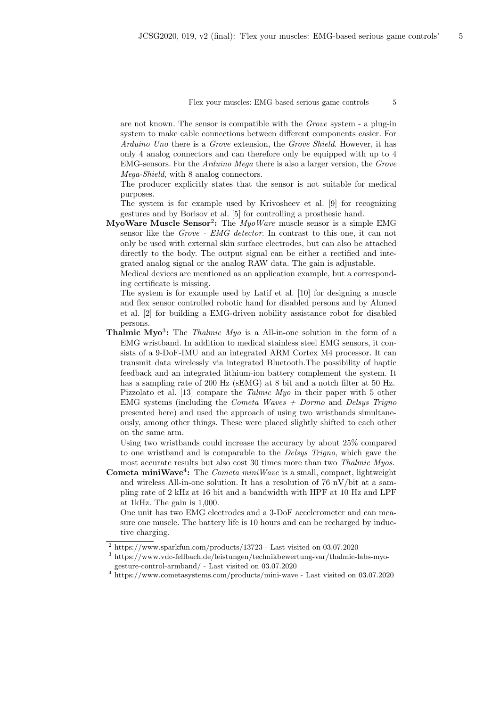are not known. The sensor is compatible with the Grove system - a plug-in system to make cable connections between different components easier. For Arduino Uno there is a Grove extension, the Grove Shield. However, it has only 4 analog connectors and can therefore only be equipped with up to 4 EMG-sensors. For the Arduino Mega there is also a larger version, the Grove Mega-Shield, with 8 analog connectors.

The producer explicitly states that the sensor is not suitable for medical purposes.

The system is for example used by Krivosheev et al. [9] for recognizing gestures and by Borisov et al. [5] for controlling a prosthesic hand.

MyoWare Muscle Sensor<sup>2</sup>: The  $MyoW$ are muscle sensor is a simple EMG sensor like the Grove - EMG detector. In contrast to this one, it can not only be used with external skin surface electrodes, but can also be attached directly to the body. The output signal can be either a rectified and integrated analog signal or the analog RAW data. The gain is adjustable.

Medical devices are mentioned as an application example, but a corresponding certificate is missing.

The system is for example used by Latif et al. [10] for designing a muscle and flex sensor controlled robotic hand for disabled persons and by Ahmed et al. [2] for building a EMG-driven nobility assistance robot for disabled persons.

Thalmic Myo<sup>3</sup>: The Thalmic Myo is a All-in-one solution in the form of a EMG wristband. In addition to medical stainless steel EMG sensors, it consists of a 9-DoF-IMU and an integrated ARM Cortex M4 processor. It can transmit data wirelessly via integrated Bluetooth.The possibility of haptic feedback and an integrated lithium-ion battery complement the system. It has a sampling rate of 200 Hz (sEMG) at 8 bit and a notch filter at 50 Hz. Pizzolato et al. [13] compare the Talmic Myo in their paper with 5 other EMG systems (including the *Cometa Waves + Dormo* and *Delsys Trigno* presented here) and used the approach of using two wristbands simultaneously, among other things. These were placed slightly shifted to each other on the same arm.

Using two wristbands could increase the accuracy by about 25% compared to one wristband and is comparable to the Delsys Trigno, which gave the most accurate results but also cost 30 times more than two Thalmic Myos.

Cometa miniWave<sup>4</sup>: The Cometa miniWave is a small, compact, lightweight and wireless All-in-one solution. It has a resolution of 76 nV/bit at a sampling rate of 2 kHz at 16 bit and a bandwidth with HPF at 10 Hz and LPF at 1kHz. The gain is 1,000.

One unit has two EMG electrodes and a 3-DoF accelerometer and can measure one muscle. The battery life is 10 hours and can be recharged by inductive charging.

<sup>&</sup>lt;sup>2</sup> https://www.sparkfun.com/products/13723 - Last visited on 03.07.2020<br><sup>3</sup> https://www.yde.follbach.do/loistungen/tochnikbowertung.var/thalmie.l

<sup>3</sup> https://www.vdc-fellbach.de/leistungen/technikbewertung-var/thalmic-labs-myogesture-control-armband/ - Last visited on 03.07.2020

<sup>4</sup> https://www.cometasystems.com/products/mini-wave - Last visited on 03.07.2020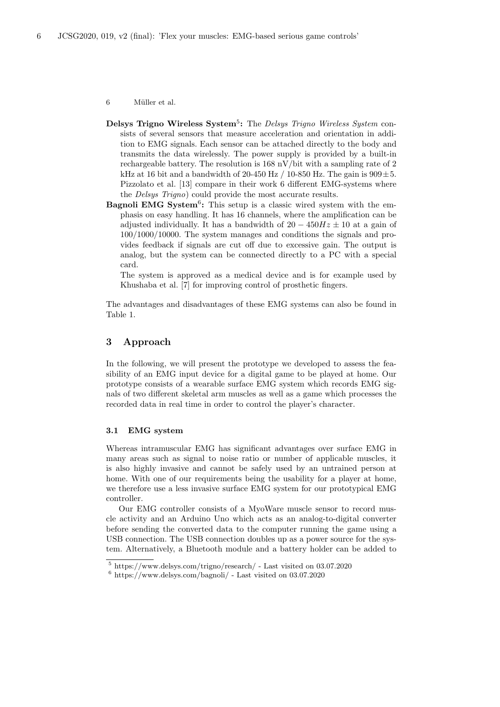- Delsys Trigno Wireless System<sup>5</sup>: The Delsys Trigno Wireless System consists of several sensors that measure acceleration and orientation in addition to EMG signals. Each sensor can be attached directly to the body and transmits the data wirelessly. The power supply is provided by a built-in rechargeable battery. The resolution is 168 nV/bit with a sampling rate of 2 kHz at 16 bit and a bandwidth of 20-450 Hz  $/$  10-850 Hz. The gain is 909 $\pm$ 5. Pizzolato et al. [13] compare in their work 6 different EMG-systems where the Delsys Trigno) could provide the most accurate results.
- Bagnoli EMG System<sup>6</sup>: This setup is a classic wired system with the emphasis on easy handling. It has 16 channels, where the amplification can be adjusted individually. It has a bandwidth of  $20 - 450Hz \pm 10$  at a gain of 100/1000/10000. The system manages and conditions the signals and provides feedback if signals are cut off due to excessive gain. The output is analog, but the system can be connected directly to a PC with a special card.

The system is approved as a medical device and is for example used by Khushaba et al. [7] for improving control of prosthetic fingers.

The advantages and disadvantages of these EMG systems can also be found in Table 1.

## 3 Approach

In the following, we will present the prototype we developed to assess the feasibility of an EMG input device for a digital game to be played at home. Our prototype consists of a wearable surface EMG system which records EMG signals of two different skeletal arm muscles as well as a game which processes the recorded data in real time in order to control the player's character.

### 3.1 EMG system

Whereas intramuscular EMG has significant advantages over surface EMG in many areas such as signal to noise ratio or number of applicable muscles, it is also highly invasive and cannot be safely used by an untrained person at home. With one of our requirements being the usability for a player at home, we therefore use a less invasive surface EMG system for our prototypical EMG controller.

Our EMG controller consists of a MyoWare muscle sensor to record muscle activity and an Arduino Uno which acts as an analog-to-digital converter before sending the converted data to the computer running the game using a USB connection. The USB connection doubles up as a power source for the system. Alternatively, a Bluetooth module and a battery holder can be added to

 $^5$ https://www.delsys.com/trigno/research/ - Last visited on 03.07.2020

 $^6$  https://www.delsys.com/bagnoli/ - Last visited on  $03.07.2020\,$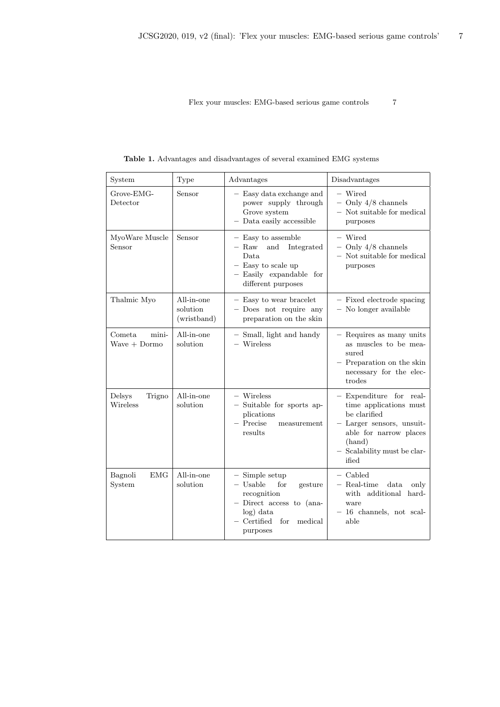| System                            | Type                                  | Advantages                                                                                                                                                     | Disadvantages                                                                                                                                                              |
|-----------------------------------|---------------------------------------|----------------------------------------------------------------------------------------------------------------------------------------------------------------|----------------------------------------------------------------------------------------------------------------------------------------------------------------------------|
| Grove-EMG-<br>Detector            | Sensor                                | - Easy data exchange and<br>power supply through<br>Grove system<br>- Data easily accessible                                                                   | - Wired<br>$-$ Only $4/8$ channels<br>- Not suitable for medical<br>purposes                                                                                               |
| MyoWare Muscle<br>Sensor          | Sensor                                | - Easy to assemble<br>$-$ Raw<br>Integrated<br>and<br>Data<br>$-$ Easy to scale up<br>- Easily expandable for<br>different purposes                            | – Wired<br>$-$ Only 4/8 channels<br>- Not suitable for medical<br>purposes                                                                                                 |
| Thalmic Myo                       | All-in-one<br>solution<br>(wristband) | - Easy to wear bracelet<br>- Does not require any<br>preparation on the skin                                                                                   | - Fixed electrode spacing<br>$-$ No longer available                                                                                                                       |
| Cometa<br>mini-<br>$Wave + Dormo$ | All-in-one<br>solution                | - Small, light and handy<br>$-$ Wireless                                                                                                                       | - Requires as many units<br>as muscles to be mea-<br>sured<br>- Preparation on the skin<br>necessary for the elec-<br>trodes                                               |
| Delsys<br>Trigno<br>Wireless      | All-in-one<br>solution                | - Wireless<br>- Suitable for sports ap-<br>plications<br>$-$ Precise<br>measurement<br>results                                                                 | - Expenditure for real-<br>time applications must<br>be clarified<br>- Larger sensors, unsuit-<br>able for narrow places<br>(hand)<br>- Scalability must be clar-<br>ified |
| <b>EMG</b><br>Bagnoli<br>System   | All-in-one<br>solution                | $-$ Simple setup<br>$-$ Usable<br>${\rm for}$<br>gesture<br>recognition<br>- Direct access to (ana-<br>$log$ ) data<br>Certified<br>for<br>medical<br>purposes | $-$ Cabled<br>$-$ Real-time<br>data<br>only<br>with additional hard-<br>ware<br>$-16$ channels, not scal-<br>able                                                          |

Table 1. Advantages and disadvantages of several examined EMG systems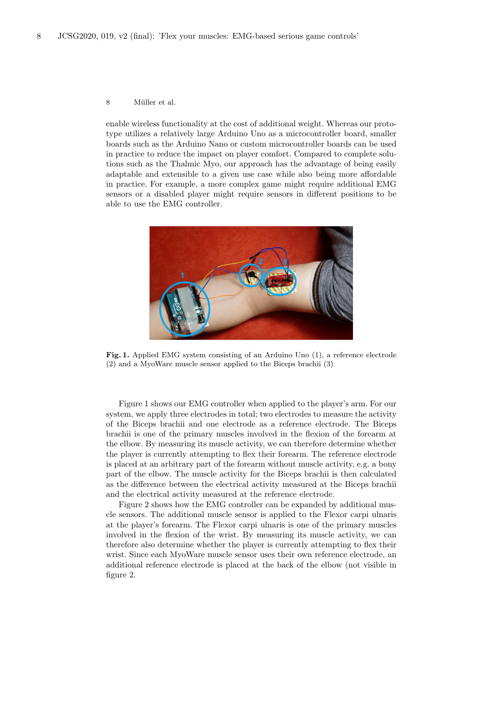enable wireless functionality at the cost of additional weight. Whereas our prototype utilizes a relatively large Arduino Uno as a microcontroller board, smaller boards such as the Arduino Nano or custom microcontroller boards can be used in practice to reduce the impact on player comfort. Compared to complete solutions such as the Thalmic Myo, our approach has the advantage of being easily adaptable and extensible to a given use case while also being more affordable in practice. For example, a more complex game might require additional EMG sensors or a disabled player might require sensors in different positions to be able to use the EMG controller.



Fig. 1. Applied EMG system consisting of an Arduino Uno (1), a reference electrode (2) and a MyoWare muscle sensor applied to the Biceps brachii (3)

Figure 1 shows our EMG controller when applied to the player's arm. For our system, we apply three electrodes in total; two electrodes to measure the activity of the Biceps brachii and one electrode as a reference electrode. The Biceps brachii is one of the primary muscles involved in the flexion of the forearm at the elbow. By measuring its muscle activity, we can therefore determine whether the player is currently attempting to flex their forearm. The reference electrode is placed at an arbitrary part of the forearm without muscle activity, e.g. a bony part of the elbow. The muscle activity for the Biceps brachii is then calculated as the difference between the electrical activity measured at the Biceps brachii and the electrical activity measured at the reference electrode.

Figure 2 shows how the EMG controller can be expanded by additional muscle sensors. The additional muscle sensor is applied to the Flexor carpi ulnaris at the player's forearm. The Flexor carpi ulnaris is one of the primary muscles involved in the flexion of the wrist. By measuring its muscle activity, we can therefore also determine whether the player is currently attempting to flex their wrist. Since each MyoWare muscle sensor uses their own reference electrode, an additional reference electrode is placed at the back of the elbow (not visible in figure 2.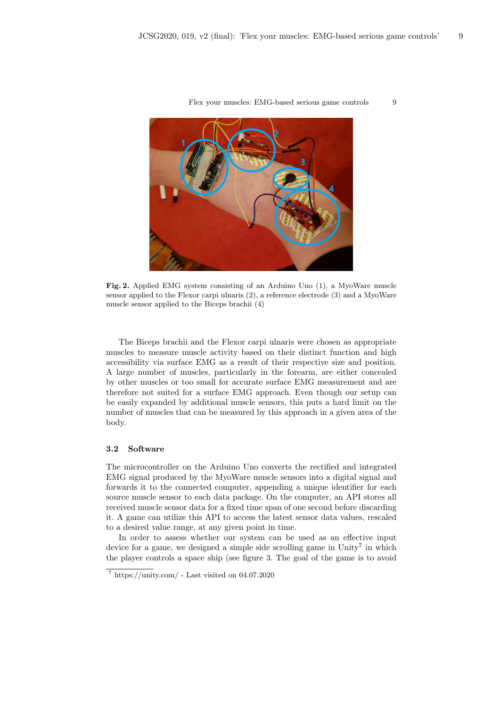

Fig. 2. Applied EMG system consisting of an Arduino Uno (1), a MyoWare muscle sensor applied to the Flexor carpi ulnaris (2), a reference electrode (3) and a MyoWare muscle sensor applied to the Biceps brachii (4)

The Biceps brachii and the Flexor carpi ulnaris were chosen as appropriate muscles to measure muscle activity based on their distinct function and high accessibility via surface EMG as a result of their respective size and position. A large number of muscles, particularly in the forearm, are either concealed by other muscles or too small for accurate surface EMG measurement and are therefore not suited for a surface EMG approach. Even though our setup can be easily expanded by additional muscle sensors, this puts a hard limit on the number of muscles that can be measured by this approach in a given area of the body.

## 3.2 Software

The microcontroller on the Arduino Uno converts the rectified and integrated EMG signal produced by the MyoWare muscle sensors into a digital signal and forwards it to the connected computer, appending a unique identifier for each source muscle sensor to each data package. On the computer, an API stores all received muscle sensor data for a fixed time span of one second before discarding it. A game can utilize this API to access the latest sensor data values, rescaled to a desired value range, at any given point in time.

In order to assess whether our system can be used as an effective input device for a game, we designed a simple side scrolling game in  $\text{Unity}^7$  in which the player controls a space ship (see figure 3. The goal of the game is to avoid

 $\sqrt[7]{\hbox{https://unity.com/ - Last visited on 04.07.2020}}$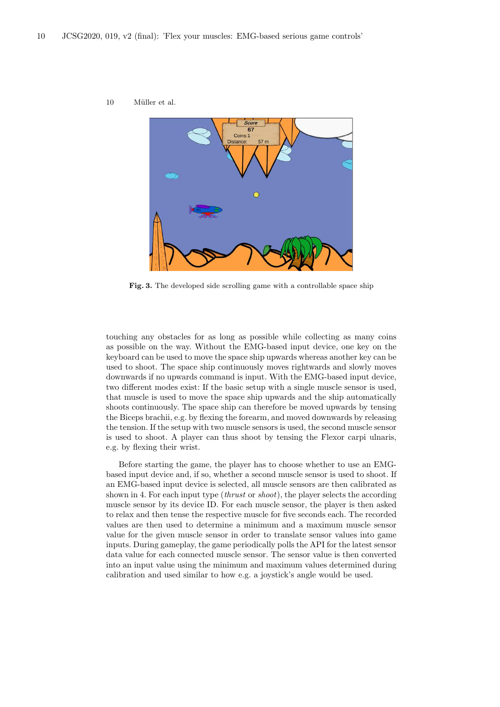



Fig. 3. The developed side scrolling game with a controllable space ship

touching any obstacles for as long as possible while collecting as many coins as possible on the way. Without the EMG-based input device, one key on the keyboard can be used to move the space ship upwards whereas another key can be used to shoot. The space ship continuously moves rightwards and slowly moves downwards if no upwards command is input. With the EMG-based input device, two different modes exist: If the basic setup with a single muscle sensor is used, that muscle is used to move the space ship upwards and the ship automatically shoots continuously. The space ship can therefore be moved upwards by tensing the Biceps brachii, e.g. by flexing the forearm, and moved downwards by releasing the tension. If the setup with two muscle sensors is used, the second muscle sensor is used to shoot. A player can thus shoot by tensing the Flexor carpi ulnaris, e.g. by flexing their wrist.

Before starting the game, the player has to choose whether to use an EMGbased input device and, if so, whether a second muscle sensor is used to shoot. If an EMG-based input device is selected, all muscle sensors are then calibrated as shown in 4. For each input type (*thrust* or *shoot*), the player selects the according muscle sensor by its device ID. For each muscle sensor, the player is then asked to relax and then tense the respective muscle for five seconds each. The recorded values are then used to determine a minimum and a maximum muscle sensor value for the given muscle sensor in order to translate sensor values into game inputs. During gameplay, the game periodically polls the API for the latest sensor data value for each connected muscle sensor. The sensor value is then converted into an input value using the minimum and maximum values determined during calibration and used similar to how e.g. a joystick's angle would be used.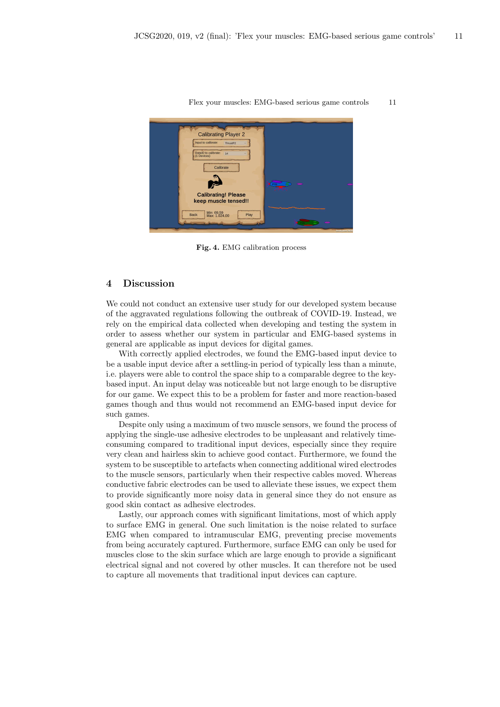

Fig. 4. EMG calibration process

## 4 Discussion

We could not conduct an extensive user study for our developed system because of the aggravated regulations following the outbreak of COVID-19. Instead, we rely on the empirical data collected when developing and testing the system in order to assess whether our system in particular and EMG-based systems in general are applicable as input devices for digital games.

With correctly applied electrodes, we found the EMG-based input device to be a usable input device after a settling-in period of typically less than a minute, i.e. players were able to control the space ship to a comparable degree to the keybased input. An input delay was noticeable but not large enough to be disruptive for our game. We expect this to be a problem for faster and more reaction-based games though and thus would not recommend an EMG-based input device for such games.

Despite only using a maximum of two muscle sensors, we found the process of applying the single-use adhesive electrodes to be unpleasant and relatively timeconsuming compared to traditional input devices, especially since they require very clean and hairless skin to achieve good contact. Furthermore, we found the system to be susceptible to artefacts when connecting additional wired electrodes to the muscle sensors, particularly when their respective cables moved. Whereas conductive fabric electrodes can be used to alleviate these issues, we expect them to provide significantly more noisy data in general since they do not ensure as good skin contact as adhesive electrodes.

Lastly, our approach comes with significant limitations, most of which apply to surface EMG in general. One such limitation is the noise related to surface EMG when compared to intramuscular EMG, preventing precise movements from being accurately captured. Furthermore, surface EMG can only be used for muscles close to the skin surface which are large enough to provide a significant electrical signal and not covered by other muscles. It can therefore not be used to capture all movements that traditional input devices can capture.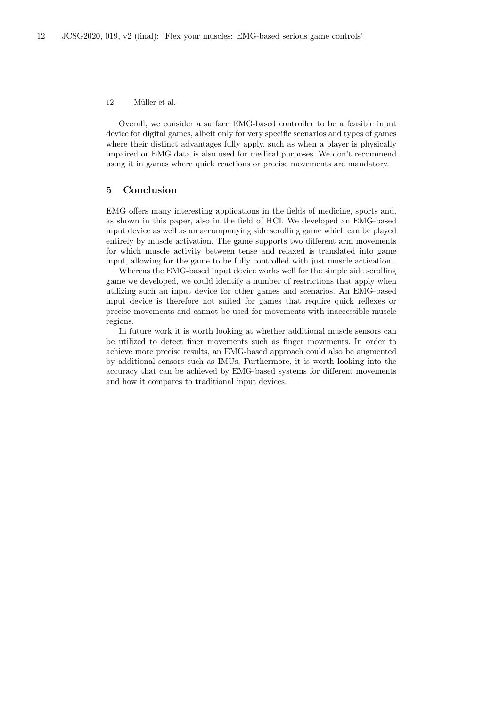Overall, we consider a surface EMG-based controller to be a feasible input device for digital games, albeit only for very specific scenarios and types of games where their distinct advantages fully apply, such as when a player is physically impaired or EMG data is also used for medical purposes. We don't recommend using it in games where quick reactions or precise movements are mandatory.

## 5 Conclusion

EMG offers many interesting applications in the fields of medicine, sports and, as shown in this paper, also in the field of HCI. We developed an EMG-based input device as well as an accompanying side scrolling game which can be played entirely by muscle activation. The game supports two different arm movements for which muscle activity between tense and relaxed is translated into game input, allowing for the game to be fully controlled with just muscle activation.

Whereas the EMG-based input device works well for the simple side scrolling game we developed, we could identify a number of restrictions that apply when utilizing such an input device for other games and scenarios. An EMG-based input device is therefore not suited for games that require quick reflexes or precise movements and cannot be used for movements with inaccessible muscle regions.

In future work it is worth looking at whether additional muscle sensors can be utilized to detect finer movements such as finger movements. In order to achieve more precise results, an EMG-based approach could also be augmented by additional sensors such as IMUs. Furthermore, it is worth looking into the accuracy that can be achieved by EMG-based systems for different movements and how it compares to traditional input devices.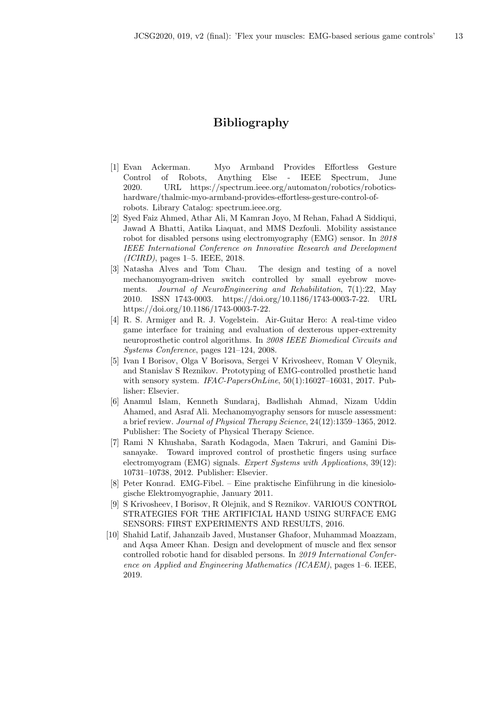# Bibliography

- [1] Evan Ackerman. Myo Armband Provides Effortless Gesture Control of Robots, Anything Else - IEEE Spectrum, June 2020. URL https://spectrum.ieee.org/automaton/robotics/roboticshardware/thalmic-myo-armband-provides-effortless-gesture-control-ofrobots. Library Catalog: spectrum.ieee.org.
- [2] Syed Faiz Ahmed, Athar Ali, M Kamran Joyo, M Rehan, Fahad A Siddiqui, Jawad A Bhatti, Aatika Liaquat, and MMS Dezfouli. Mobility assistance robot for disabled persons using electromyography (EMG) sensor. In 2018 IEEE International Conference on Innovative Research and Development (ICIRD), pages 1–5. IEEE, 2018.
- [3] Natasha Alves and Tom Chau. The design and testing of a novel mechanomyogram-driven switch controlled by small eyebrow movements. Journal of NeuroEngineering and Rehabilitation, 7(1):22, May 2010. ISSN 1743-0003. https://doi.org/10.1186/1743-0003-7-22. URL https://doi.org/10.1186/1743-0003-7-22.
- [4] R. S. Armiger and R. J. Vogelstein. Air-Guitar Hero: A real-time video game interface for training and evaluation of dexterous upper-extremity neuroprosthetic control algorithms. In 2008 IEEE Biomedical Circuits and Systems Conference, pages 121–124, 2008.
- [5] Ivan I Borisov, Olga V Borisova, Sergei V Krivosheev, Roman V Oleynik, and Stanislav S Reznikov. Prototyping of EMG-controlled prosthetic hand with sensory system. IFAC-PapersOnLine,  $50(1):16027-16031$ , 2017. Publisher: Elsevier.
- [6] Anamul Islam, Kenneth Sundaraj, Badlishah Ahmad, Nizam Uddin Ahamed, and Asraf Ali. Mechanomyography sensors for muscle assessment: a brief review. Journal of Physical Therapy Science, 24(12):1359–1365, 2012. Publisher: The Society of Physical Therapy Science.
- [7] Rami N Khushaba, Sarath Kodagoda, Maen Takruri, and Gamini Dissanayake. Toward improved control of prosthetic fingers using surface electromyogram (EMG) signals. Expert Systems with Applications, 39(12): 10731–10738, 2012. Publisher: Elsevier.
- [8] Peter Konrad. EMG-Fibel. Eine praktische Einführung in die kinesiologische Elektromyographie, January 2011.
- [9] S Krivosheev, I Borisov, R Olejnik, and S Reznikov. VARIOUS CONTROL STRATEGIES FOR THE ARTIFICIAL HAND USING SURFACE EMG SENSORS: FIRST EXPERIMENTS AND RESULTS, 2016.
- [10] Shahid Latif, Jahanzaib Javed, Mustanser Ghafoor, Muhammad Moazzam, and Aqsa Ameer Khan. Design and development of muscle and flex sensor controlled robotic hand for disabled persons. In 2019 International Conference on Applied and Engineering Mathematics (ICAEM), pages 1–6. IEEE, 2019.